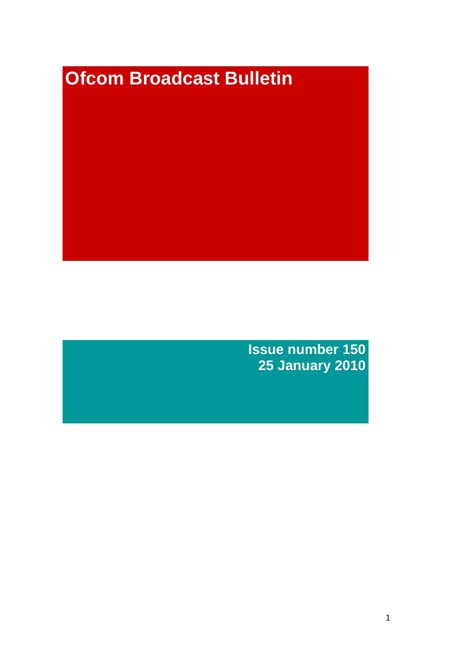# **Ofcom Broadcast Bulletin**

**Issue number 150 25 January 2010**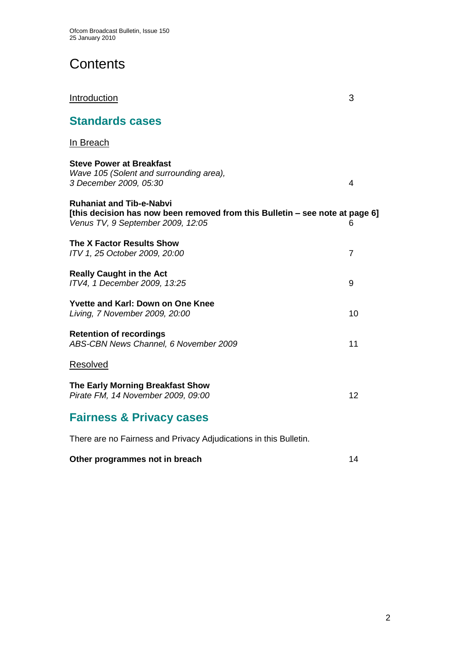**Standards cases**

# **Contents**

| In Breach                                                                                                                                            |    |
|------------------------------------------------------------------------------------------------------------------------------------------------------|----|
| <b>Steve Power at Breakfast</b><br>Wave 105 (Solent and surrounding area),<br>3 December 2009, 05:30                                                 | 4  |
| <b>Ruhaniat and Tib-e-Nabyi</b><br>[this decision has now been removed from this Bulletin – see note at page 6]<br>Venus TV, 9 September 2009, 12:05 | 6  |
| <b>The X Factor Results Show</b><br>ITV 1, 25 October 2009, 20:00                                                                                    | 7  |
| <b>Really Caught in the Act</b><br>ITV4, 1 December 2009, 13:25                                                                                      | 9  |
| <b>Yvette and Karl: Down on One Knee</b><br>Living, 7 November 2009, 20:00                                                                           | 10 |
| <b>Retention of recordings</b><br>ABS-CBN News Channel, 6 November 2009                                                                              | 11 |
| <b>Resolved</b>                                                                                                                                      |    |
| The Early Morning Breakfast Show<br>Pirate FM, 14 November 2009, 09:00                                                                               | 12 |

**Introduction** 3

# **Fairness & Privacy cases**

There are no Fairness and Privacy Adjudications in this Bulletin.

#### **Other programmes not in breach 14 and 14 and 14 and 14 and 14 and 14 and 14 and 14 and 14 and 14 and 14 and 14 and 14 and 14 and 14 and 14 and 14 and 14 and 14 and 14 and 14 and 15 and 16 and 16 and 16 and 16 and 16 and 1**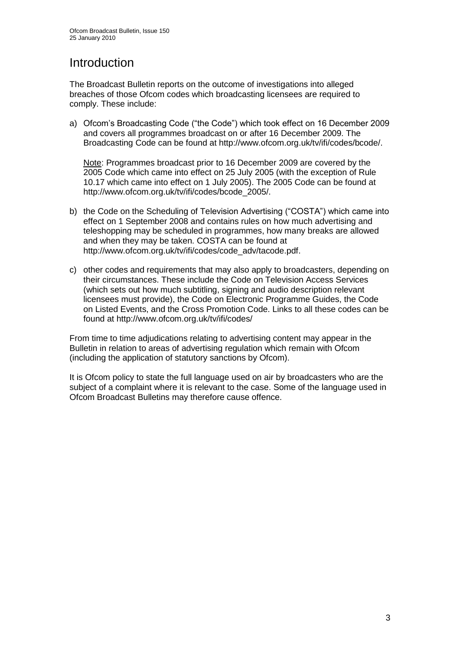# Introduction

The Broadcast Bulletin reports on the outcome of investigations into alleged breaches of those Ofcom codes which broadcasting licensees are required to comply. These include:

a) Ofcom"s Broadcasting Code ("the Code") which took effect on 16 December 2009 and covers all programmes broadcast on or after 16 December 2009. The Broadcasting Code can be found at http://www.ofcom.org.uk/tv/ifi/codes/bcode/.

Note: Programmes broadcast prior to 16 December 2009 are covered by the 2005 Code which came into effect on 25 July 2005 (with the exception of Rule 10.17 which came into effect on 1 July 2005). The 2005 Code can be found at http://www.ofcom.org.uk/tv/ifi/codes/bcode\_2005/.

- b) the Code on the Scheduling of Television Advertising ("COSTA") which came into effect on 1 September 2008 and contains rules on how much advertising and teleshopping may be scheduled in programmes, how many breaks are allowed and when they may be taken. COSTA can be found at [http://www.ofcom.org.uk/tv/ifi/codes/code\\_adv/tacode.pdf.](http://www.ofcom.org.uk/tv/ifi/codes/code_adv/tacode.pdf)
- c) other codes and requirements that may also apply to broadcasters, depending on their circumstances. These include the Code on Television Access Services (which sets out how much subtitling, signing and audio description relevant licensees must provide), the Code on Electronic Programme Guides, the Code on Listed Events, and the Cross Promotion Code. Links to all these codes can be found at http://www.ofcom.org.uk/tv/ifi/codes/

From time to time adjudications relating to advertising content may appear in the Bulletin in relation to areas of advertising regulation which remain with Ofcom (including the application of statutory sanctions by Ofcom).

It is Ofcom policy to state the full language used on air by broadcasters who are the subject of a complaint where it is relevant to the case. Some of the language used in Ofcom Broadcast Bulletins may therefore cause offence.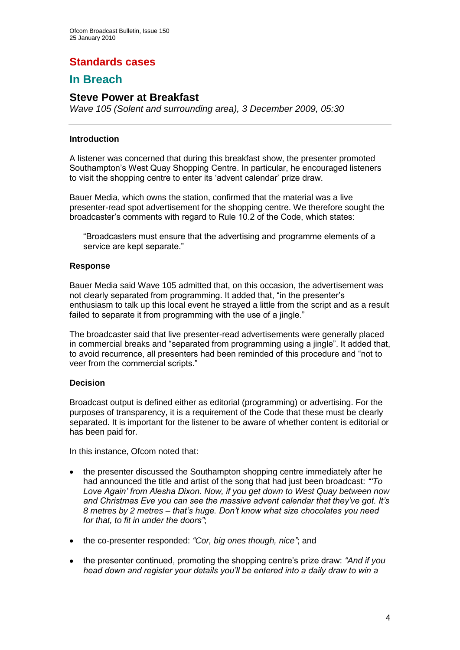## **Standards cases**

## **In Breach**

### **Steve Power at Breakfast**

*Wave 105 (Solent and surrounding area), 3 December 2009, 05:30*

#### **Introduction**

A listener was concerned that during this breakfast show, the presenter promoted Southampton"s West Quay Shopping Centre. In particular, he encouraged listeners to visit the shopping centre to enter its "advent calendar" prize draw.

Bauer Media, which owns the station, confirmed that the material was a live presenter-read spot advertisement for the shopping centre. We therefore sought the broadcaster"s comments with regard to Rule 10.2 of the Code, which states:

"Broadcasters must ensure that the advertising and programme elements of a service are kept separate."

#### **Response**

Bauer Media said Wave 105 admitted that, on this occasion, the advertisement was not clearly separated from programming. It added that, "in the presenter"s enthusiasm to talk up this local event he strayed a little from the script and as a result failed to separate it from programming with the use of a jingle."

The broadcaster said that live presenter-read advertisements were generally placed in commercial breaks and "separated from programming using a jingle". It added that, to avoid recurrence, all presenters had been reminded of this procedure and "not to veer from the commercial scripts."

#### **Decision**

Broadcast output is defined either as editorial (programming) or advertising. For the purposes of transparency, it is a requirement of the Code that these must be clearly separated. It is important for the listener to be aware of whether content is editorial or has been paid for.

In this instance, Ofcom noted that:

- the presenter discussed the Southampton shopping centre immediately after he had announced the title and artist of the song that had just been broadcast: *""To Love Again" from Alesha Dixon. Now, if you get down to West Quay between now and Christmas Eve you can see the massive advent calendar that they"ve got. It"s 8 metres by 2 metres – that"s huge. Don"t know what size chocolates you need for that, to fit in under the doors"*;
- the co-presenter responded: *"Cor, big ones though, nice"*; and
- the presenter continued, promoting the shopping centre"s prize draw: *"And if you head down and register your details you"ll be entered into a daily draw to win a*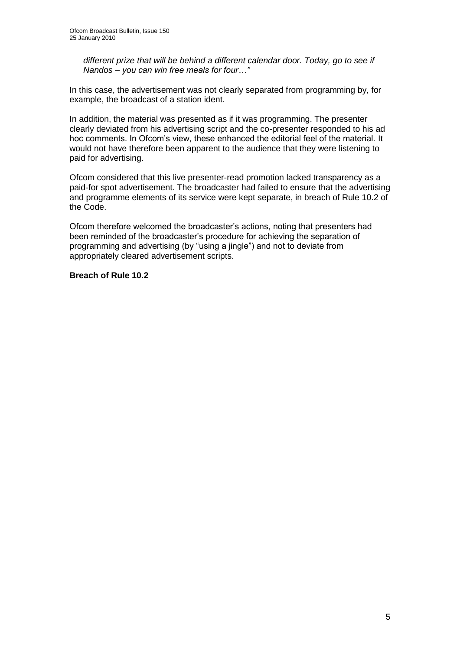*different prize that will be behind a different calendar door. Today, go to see if Nandos – you can win free meals for four…"*

In this case, the advertisement was not clearly separated from programming by, for example, the broadcast of a station ident.

In addition, the material was presented as if it was programming. The presenter clearly deviated from his advertising script and the co-presenter responded to his ad hoc comments. In Ofcom"s view, these enhanced the editorial feel of the material. It would not have therefore been apparent to the audience that they were listening to paid for advertising.

Ofcom considered that this live presenter-read promotion lacked transparency as a paid-for spot advertisement. The broadcaster had failed to ensure that the advertising and programme elements of its service were kept separate, in breach of Rule 10.2 of the Code.

Ofcom therefore welcomed the broadcaster"s actions, noting that presenters had been reminded of the broadcaster"s procedure for achieving the separation of programming and advertising (by "using a jingle") and not to deviate from appropriately cleared advertisement scripts.

#### **Breach of Rule 10.2**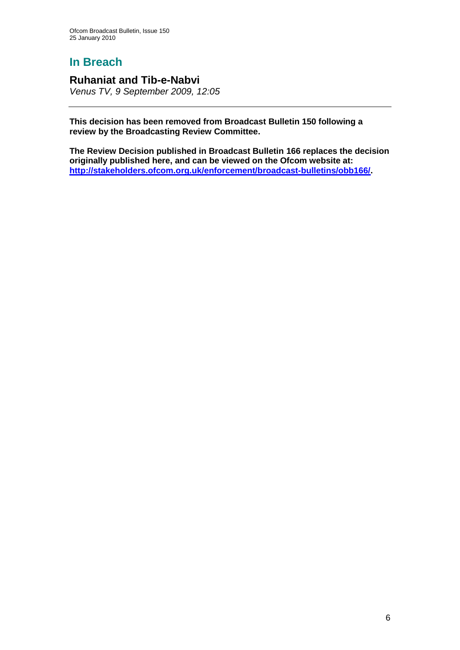## **Ruhaniat and Tib-e-Nabvi**

*Venus TV, 9 September 2009, 12:05* 

**This decision has been removed from Broadcast Bulletin 150 following a review by the Broadcasting Review Committee.** 

**The Review Decision published in Broadcast Bulletin 166 replaces the decision originally published here, and can be viewed on the Ofcom website at: [http://stakeholders.ofcom.org.uk/enforcement/broadcast-bulletins/obb166/.](http://stakeholders.ofcom.org.uk/enforcement/broadcast-bulletins/obb166/)**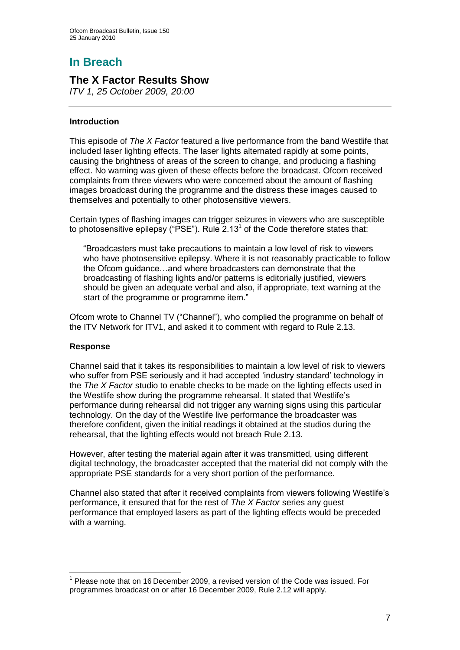## **The X Factor Results Show**

*ITV 1, 25 October 2009, 20:00*

#### **Introduction**

This episode of *The X Factor* featured a live performance from the band Westlife that included laser lighting effects. The laser lights alternated rapidly at some points, causing the brightness of areas of the screen to change, and producing a flashing effect. No warning was given of these effects before the broadcast. Ofcom received complaints from three viewers who were concerned about the amount of flashing images broadcast during the programme and the distress these images caused to themselves and potentially to other photosensitive viewers.

Certain types of flashing images can trigger seizures in viewers who are susceptible to photosensitive epilepsy ("PSE"). Rule 2.13<sup>1</sup> of the Code therefore states that:

"Broadcasters must take precautions to maintain a low level of risk to viewers who have photosensitive epilepsy. Where it is not reasonably practicable to follow the Ofcom guidance…and where broadcasters can demonstrate that the broadcasting of flashing lights and/or patterns is editorially justified, viewers should be given an adequate verbal and also, if appropriate, text warning at the start of the programme or programme item."

Ofcom wrote to Channel TV ("Channel"), who complied the programme on behalf of the ITV Network for ITV1, and asked it to comment with regard to Rule 2.13.

#### **Response**

1

Channel said that it takes its responsibilities to maintain a low level of risk to viewers who suffer from PSE seriously and it had accepted 'industry standard' technology in the *The X Factor* studio to enable checks to be made on the lighting effects used in the Westlife show during the programme rehearsal. It stated that Westlife"s performance during rehearsal did not trigger any warning signs using this particular technology. On the day of the Westlife live performance the broadcaster was therefore confident, given the initial readings it obtained at the studios during the rehearsal, that the lighting effects would not breach Rule 2.13.

However, after testing the material again after it was transmitted, using different digital technology, the broadcaster accepted that the material did not comply with the appropriate PSE standards for a very short portion of the performance.

Channel also stated that after it received complaints from viewers following Westlife"s performance, it ensured that for the rest of *The X Factor* series any guest performance that employed lasers as part of the lighting effects would be preceded with a warning.

 $1$  Please note that on 16 December 2009, a revised version of the Code was issued. For programmes broadcast on or after 16 December 2009, Rule 2.12 will apply.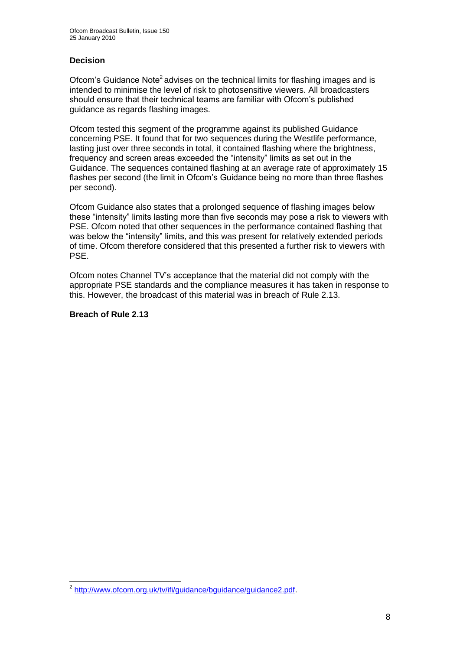#### **Decision**

Ofcom's Guidance Note<sup>2</sup> advises on the technical limits for flashing images and is intended to minimise the level of risk to photosensitive viewers. All broadcasters should ensure that their technical teams are familiar with Ofcom"s published guidance as regards flashing images.

Ofcom tested this segment of the programme against its published Guidance concerning PSE. It found that for two sequences during the Westlife performance, lasting just over three seconds in total, it contained flashing where the brightness, frequency and screen areas exceeded the "intensity" limits as set out in the Guidance. The sequences contained flashing at an average rate of approximately 15 flashes per second (the limit in Ofcom's Guidance being no more than three flashes per second).

Ofcom Guidance also states that a prolonged sequence of flashing images below these "intensity" limits lasting more than five seconds may pose a risk to viewers with PSE. Ofcom noted that other sequences in the performance contained flashing that was below the "intensity" limits, and this was present for relatively extended periods of time. Ofcom therefore considered that this presented a further risk to viewers with PSE.

Ofcom notes Channel TV"s acceptance that the material did not comply with the appropriate PSE standards and the compliance measures it has taken in response to this. However, the broadcast of this material was in breach of Rule 2.13.

#### **Breach of Rule 2.13**

 2 [http://www.ofcom.org.uk/tv/ifi/guidance/bguidance/guidance2.pdf.](http://www.ofcom.org.uk/tv/ifi/guidance/bguidance/guidance2.pdf)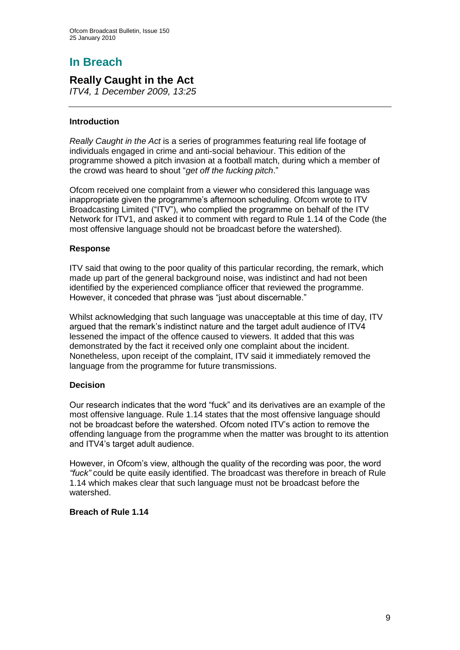## **Really Caught in the Act**

*ITV4, 1 December 2009, 13:25* 

#### **Introduction**

*Really Caught in the Act* is a series of programmes featuring real life footage of individuals engaged in crime and anti-social behaviour. This edition of the programme showed a pitch invasion at a football match, during which a member of the crowd was heard to shout "*get off the fucking pitch*."

Ofcom received one complaint from a viewer who considered this language was inappropriate given the programme's afternoon scheduling. Ofcom wrote to ITV Broadcasting Limited ("ITV"), who complied the programme on behalf of the ITV Network for ITV1, and asked it to comment with regard to Rule 1.14 of the Code (the most offensive language should not be broadcast before the watershed).

#### **Response**

ITV said that owing to the poor quality of this particular recording, the remark, which made up part of the general background noise, was indistinct and had not been identified by the experienced compliance officer that reviewed the programme. However, it conceded that phrase was "just about discernable."

Whilst acknowledging that such language was unacceptable at this time of day, ITV argued that the remark"s indistinct nature and the target adult audience of ITV4 lessened the impact of the offence caused to viewers. It added that this was demonstrated by the fact it received only one complaint about the incident. Nonetheless, upon receipt of the complaint, ITV said it immediately removed the language from the programme for future transmissions.

#### **Decision**

Our research indicates that the word "fuck" and its derivatives are an example of the most offensive language. Rule 1.14 states that the most offensive language should not be broadcast before the watershed. Ofcom noted ITV"s action to remove the offending language from the programme when the matter was brought to its attention and ITV4"s target adult audience.

However, in Ofcom"s view, although the quality of the recording was poor, the word *"fuck"* could be quite easily identified. The broadcast was therefore in breach of Rule 1.14 which makes clear that such language must not be broadcast before the watershed.

#### **Breach of Rule 1.14**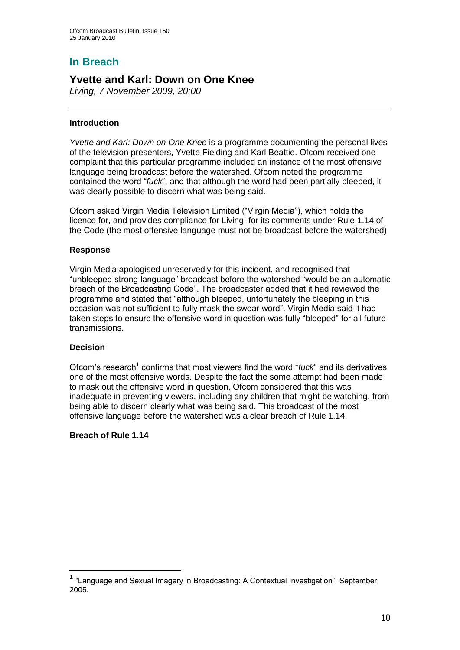## **Yvette and Karl: Down on One Knee**

*Living, 7 November 2009, 20:00*

#### **Introduction**

*Yvette and Karl: Down on One Knee* is a programme documenting the personal lives of the television presenters, Yvette Fielding and Karl Beattie. Ofcom received one complaint that this particular programme included an instance of the most offensive language being broadcast before the watershed. Ofcom noted the programme contained the word "*fuck*", and that although the word had been partially bleeped, it was clearly possible to discern what was being said.

Ofcom asked Virgin Media Television Limited ("Virgin Media"), which holds the licence for, and provides compliance for Living, for its comments under Rule 1.14 of the Code (the most offensive language must not be broadcast before the watershed).

#### **Response**

Virgin Media apologised unreservedly for this incident, and recognised that "unbleeped strong language" broadcast before the watershed "would be an automatic breach of the Broadcasting Code". The broadcaster added that it had reviewed the programme and stated that "although bleeped, unfortunately the bleeping in this occasion was not sufficient to fully mask the swear word". Virgin Media said it had taken steps to ensure the offensive word in question was fully "bleeped" for all future transmissions.

#### **Decision**

1

Ofcom's research<sup>1</sup> confirms that most viewers find the word "*fuck*" and its derivatives one of the most offensive words. Despite the fact the some attempt had been made to mask out the offensive word in question, Ofcom considered that this was inadequate in preventing viewers, including any children that might be watching, from being able to discern clearly what was being said. This broadcast of the most offensive language before the watershed was a clear breach of Rule 1.14.

#### **Breach of Rule 1.14**

<sup>&</sup>lt;sup>1</sup> "Language and Sexual Imagery in Broadcasting: A Contextual Investigation", September 2005.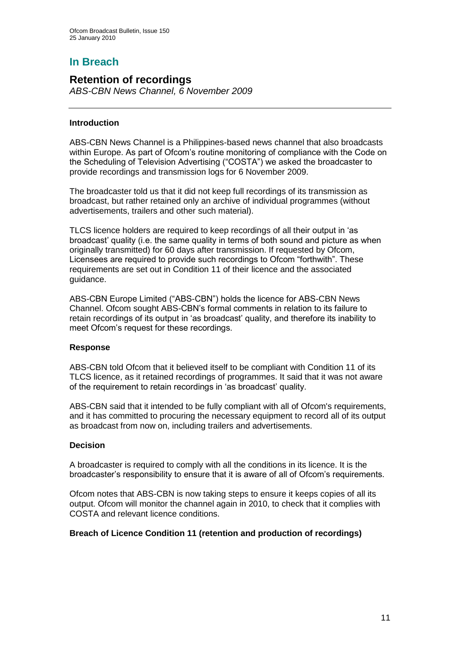## **Retention of recordings**

*ABS-CBN News Channel, 6 November 2009*

#### **Introduction**

ABS-CBN News Channel is a Philippines-based news channel that also broadcasts within Europe. As part of Ofcom"s routine monitoring of compliance with the Code on the Scheduling of Television Advertising ("COSTA") we asked the broadcaster to provide recordings and transmission logs for 6 November 2009.

The broadcaster told us that it did not keep full recordings of its transmission as broadcast, but rather retained only an archive of individual programmes (without advertisements, trailers and other such material).

TLCS licence holders are required to keep recordings of all their output in "as broadcast" quality (i.e. the same quality in terms of both sound and picture as when originally transmitted) for 60 days after transmission. If requested by Ofcom, Licensees are required to provide such recordings to Ofcom "forthwith". These requirements are set out in Condition 11 of their licence and the associated guidance.

ABS-CBN Europe Limited ("ABS-CBN") holds the licence for ABS-CBN News Channel. Ofcom sought ABS-CBN"s formal comments in relation to its failure to retain recordings of its output in "as broadcast" quality, and therefore its inability to meet Ofcom"s request for these recordings.

#### **Response**

ABS-CBN told Ofcom that it believed itself to be compliant with Condition 11 of its TLCS licence, as it retained recordings of programmes. It said that it was not aware of the requirement to retain recordings in "as broadcast" quality.

ABS-CBN said that it intended to be fully compliant with all of Ofcom's requirements, and it has committed to procuring the necessary equipment to record all of its output as broadcast from now on, including trailers and advertisements.

#### **Decision**

A broadcaster is required to comply with all the conditions in its licence. It is the broadcaster"s responsibility to ensure that it is aware of all of Ofcom"s requirements.

Ofcom notes that ABS-CBN is now taking steps to ensure it keeps copies of all its output. Ofcom will monitor the channel again in 2010, to check that it complies with COSTA and relevant licence conditions.

#### **Breach of Licence Condition 11 (retention and production of recordings)**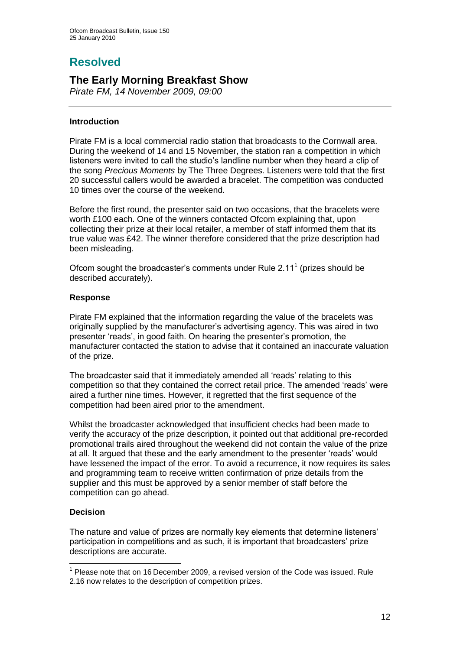# **Resolved**

## **The Early Morning Breakfast Show**

*Pirate FM, 14 November 2009, 09:00* 

#### **Introduction**

Pirate FM is a local commercial radio station that broadcasts to the Cornwall area. During the weekend of 14 and 15 November, the station ran a competition in which listeners were invited to call the studio"s landline number when they heard a clip of the song *Precious Moments* by The Three Degrees. Listeners were told that the first 20 successful callers would be awarded a bracelet. The competition was conducted 10 times over the course of the weekend.

Before the first round, the presenter said on two occasions, that the bracelets were worth £100 each. One of the winners contacted Ofcom explaining that, upon collecting their prize at their local retailer, a member of staff informed them that its true value was £42. The winner therefore considered that the prize description had been misleading.

Ofcom sought the broadcaster's comments under Rule  $2.11<sup>1</sup>$  (prizes should be described accurately).

#### **Response**

Pirate FM explained that the information regarding the value of the bracelets was originally supplied by the manufacturer"s advertising agency. This was aired in two presenter "reads", in good faith. On hearing the presenter"s promotion, the manufacturer contacted the station to advise that it contained an inaccurate valuation of the prize.

The broadcaster said that it immediately amended all 'reads' relating to this competition so that they contained the correct retail price. The amended "reads" were aired a further nine times. However, it regretted that the first sequence of the competition had been aired prior to the amendment.

Whilst the broadcaster acknowledged that insufficient checks had been made to verify the accuracy of the prize description, it pointed out that additional pre-recorded promotional trails aired throughout the weekend did not contain the value of the prize at all. It argued that these and the early amendment to the presenter "reads" would have lessened the impact of the error. To avoid a recurrence, it now requires its sales and programming team to receive written confirmation of prize details from the supplier and this must be approved by a senior member of staff before the competition can go ahead.

#### **Decision**

1

The nature and value of prizes are normally key elements that determine listeners" participation in competitions and as such, it is important that broadcasters" prize descriptions are accurate.

 $1$  Please note that on 16 December 2009, a revised version of the Code was issued. Rule 2.16 now relates to the description of competition prizes.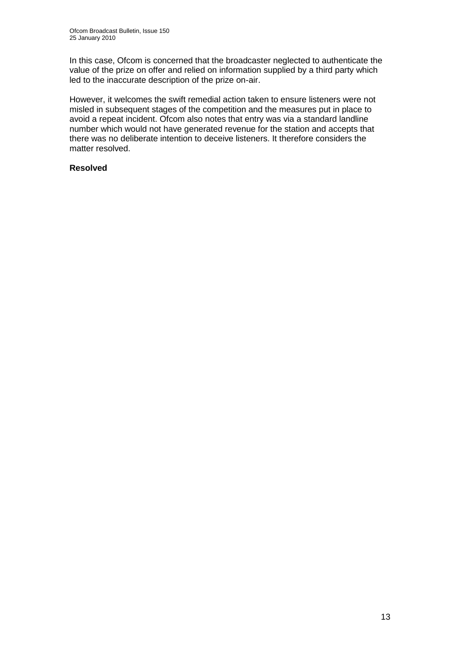In this case, Ofcom is concerned that the broadcaster neglected to authenticate the value of the prize on offer and relied on information supplied by a third party which led to the inaccurate description of the prize on-air.

However, it welcomes the swift remedial action taken to ensure listeners were not misled in subsequent stages of the competition and the measures put in place to avoid a repeat incident. Ofcom also notes that entry was via a standard landline number which would not have generated revenue for the station and accepts that there was no deliberate intention to deceive listeners. It therefore considers the matter resolved.

#### **Resolved**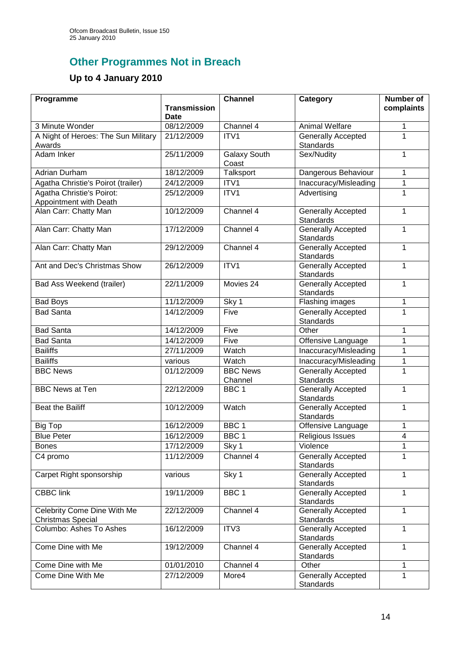# **Other Programmes Not in Breach**

# **Up to 4 January 2010**

| Programme                                               |                                    | <b>Channel</b>               | Category                                      | <b>Number of</b> |
|---------------------------------------------------------|------------------------------------|------------------------------|-----------------------------------------------|------------------|
|                                                         | <b>Transmission</b><br><b>Date</b> |                              |                                               | complaints       |
| 3 Minute Wonder                                         | 08/12/2009                         | Channel 4                    | Animal Welfare                                | 1                |
| A Night of Heroes: The Sun Military<br>Awards           | 21/12/2009                         | ITV <sub>1</sub>             | <b>Generally Accepted</b><br><b>Standards</b> | 1                |
| Adam Inker                                              | 25/11/2009                         | <b>Galaxy South</b><br>Coast | Sex/Nudity                                    | 1                |
| <b>Adrian Durham</b>                                    | 18/12/2009                         | Talksport                    | Dangerous Behaviour                           | 1                |
| Agatha Christie's Poirot (trailer)                      | 24/12/2009                         | ITV1                         | Inaccuracy/Misleading                         | 1                |
| Agatha Christie's Poirot:<br>Appointment with Death     | 25/12/2009                         | ITV1                         | Advertising                                   | 1                |
| Alan Carr: Chatty Man                                   | 10/12/2009                         | Channel 4                    | <b>Generally Accepted</b><br><b>Standards</b> | $\mathbf{1}$     |
| Alan Carr: Chatty Man                                   | 17/12/2009                         | Channel 4                    | Generally Accepted<br><b>Standards</b>        | $\mathbf{1}$     |
| Alan Carr: Chatty Man                                   | 29/12/2009                         | Channel 4                    | <b>Generally Accepted</b><br><b>Standards</b> | 1                |
| Ant and Dec's Christmas Show                            | 26/12/2009                         | ITV1                         | <b>Generally Accepted</b><br><b>Standards</b> | $\mathbf{1}$     |
| Bad Ass Weekend (trailer)                               | 22/11/2009                         | Movies 24                    | <b>Generally Accepted</b><br><b>Standards</b> | 1                |
| <b>Bad Boys</b>                                         | 11/12/2009                         | Sky 1                        | Flashing images                               | 1                |
| <b>Bad Santa</b>                                        | 14/12/2009                         | Five                         | <b>Generally Accepted</b><br><b>Standards</b> | 1                |
| <b>Bad Santa</b>                                        | 14/12/2009                         | Five                         | Other                                         | 1                |
| <b>Bad Santa</b>                                        | 14/12/2009                         | Five                         | Offensive Language                            | 1                |
| <b>Bailiffs</b>                                         | 27/11/2009                         | Watch                        | Inaccuracy/Misleading                         | 1                |
| <b>Bailiffs</b>                                         | various                            | Watch                        | Inaccuracy/Misleading                         | 1                |
| <b>BBC News</b>                                         | 01/12/2009                         | <b>BBC News</b><br>Channel   | <b>Generally Accepted</b><br>Standards        | 1                |
| <b>BBC News at Ten</b>                                  | 22/12/2009                         | BBC <sub>1</sub>             | <b>Generally Accepted</b><br>Standards        | 1                |
| <b>Beat the Bailiff</b>                                 | 10/12/2009                         | Watch                        | <b>Generally Accepted</b><br>Standards        | 1                |
| <b>Big Top</b>                                          | 16/12/2009                         | BBC <sub>1</sub>             | Offensive Language                            | 1                |
| <b>Blue Peter</b>                                       | 16/12/2009                         | BBC <sub>1</sub>             | <b>Religious Issues</b>                       | $\overline{4}$   |
| <b>Bones</b>                                            | 17/12/2009                         | Sky 1                        | Violence                                      | 1                |
| C4 promo                                                | 11/12/2009                         | Channel 4                    | <b>Generally Accepted</b><br><b>Standards</b> | 1                |
| Carpet Right sponsorship                                | various                            | Sky 1                        | <b>Generally Accepted</b><br><b>Standards</b> | $\mathbf{1}$     |
| <b>CBBC link</b>                                        | 19/11/2009                         | BBC <sub>1</sub>             | <b>Generally Accepted</b><br><b>Standards</b> | 1                |
| Celebrity Come Dine With Me<br><b>Christmas Special</b> | 22/12/2009                         | Channel 4                    | <b>Generally Accepted</b><br><b>Standards</b> | 1                |
| Columbo: Ashes To Ashes                                 | 16/12/2009                         | ITV <sub>3</sub>             | <b>Generally Accepted</b><br><b>Standards</b> | 1                |
| Come Dine with Me                                       | 19/12/2009                         | Channel $\overline{4}$       | <b>Generally Accepted</b><br><b>Standards</b> | 1                |
| Come Dine with Me                                       | 01/01/2010                         | Channel 4                    | Other                                         | 1                |
| Come Dine With Me                                       | 27/12/2009                         | More4                        | <b>Generally Accepted</b><br><b>Standards</b> | 1                |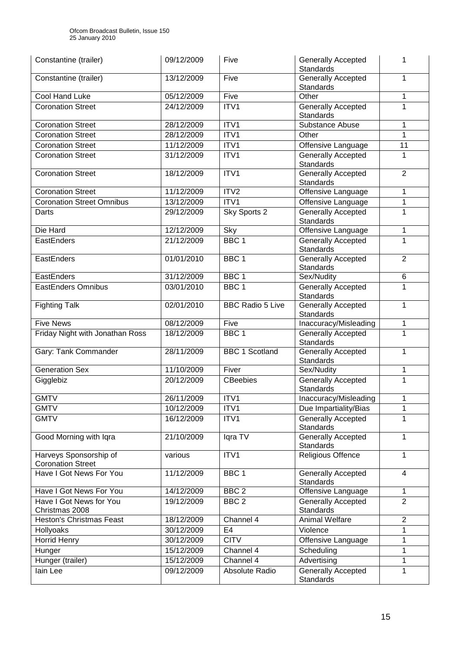| Constantine (trailer)                              | 09/12/2009 | Five                    | <b>Generally Accepted</b><br><b>Standards</b> | 1              |
|----------------------------------------------------|------------|-------------------------|-----------------------------------------------|----------------|
| Constantine (trailer)                              | 13/12/2009 | Five                    | <b>Generally Accepted</b><br><b>Standards</b> | 1              |
| <b>Cool Hand Luke</b>                              | 05/12/2009 | Five                    | Other                                         | 1              |
| <b>Coronation Street</b>                           | 24/12/2009 | ITV1                    | Generally Accepted<br><b>Standards</b>        | 1              |
| <b>Coronation Street</b>                           | 28/12/2009 | ITV1                    | Substance Abuse                               | 1              |
| <b>Coronation Street</b>                           | 28/12/2009 | ITV1                    | Other                                         | 1              |
| <b>Coronation Street</b>                           | 11/12/2009 | ITV1                    | Offensive Language                            | 11             |
| <b>Coronation Street</b>                           | 31/12/2009 | ITV1                    | Generally Accepted<br><b>Standards</b>        | 1              |
| <b>Coronation Street</b>                           | 18/12/2009 | ITV1                    | Generally Accepted<br>Standards               | $\overline{2}$ |
| <b>Coronation Street</b>                           | 11/12/2009 | ITV2                    | Offensive Language                            | 1              |
| <b>Coronation Street Omnibus</b>                   | 13/12/2009 | ITV1                    | Offensive Language                            | 1              |
| Darts                                              | 29/12/2009 | Sky Sports 2            | <b>Generally Accepted</b><br><b>Standards</b> | 1              |
| Die Hard                                           | 12/12/2009 | Sky                     | Offensive Language                            | 1              |
| EastEnders                                         | 21/12/2009 | BBC <sub>1</sub>        | <b>Generally Accepted</b><br><b>Standards</b> | 1              |
| EastEnders                                         | 01/01/2010 | BBC <sub>1</sub>        | <b>Generally Accepted</b><br><b>Standards</b> | $\overline{2}$ |
| EastEnders                                         | 31/12/2009 | BBC <sub>1</sub>        | Sex/Nudity                                    | $\,6\,$        |
| <b>EastEnders Omnibus</b>                          | 03/01/2010 | BBC <sub>1</sub>        | <b>Generally Accepted</b><br>Standards        | 1              |
| <b>Fighting Talk</b>                               | 02/01/2010 | <b>BBC Radio 5 Live</b> | <b>Generally Accepted</b><br>Standards        | 1              |
| <b>Five News</b>                                   | 08/12/2009 | Five                    | Inaccuracy/Misleading                         | 1              |
| Friday Night with Jonathan Ross                    | 18/12/2009 | BBC <sub>1</sub>        | <b>Generally Accepted</b><br>Standards        | 1              |
| Gary: Tank Commander                               | 28/11/2009 | <b>BBC 1 Scotland</b>   | <b>Generally Accepted</b><br>Standards        | 1              |
| <b>Generation Sex</b>                              | 11/10/2009 | Fiver                   | Sex/Nudity                                    | 1              |
| Gigglebiz                                          | 20/12/2009 | <b>CBeebies</b>         | Generally Accepted<br><b>Standards</b>        | 1              |
| <b>GMTV</b>                                        | 26/11/2009 | ITV1                    | Inaccuracy/Misleading                         | 1              |
| <b>GMTV</b>                                        | 10/12/2009 | ITV1                    | Due Impartiality/Bias                         | 1              |
| <b>GMTV</b>                                        | 16/12/2009 | ITV <sub>1</sub>        | Generally Accepted<br><b>Standards</b>        | 1              |
| Good Morning with Iqra                             | 21/10/2009 | Iqra TV                 | <b>Generally Accepted</b><br><b>Standards</b> | 1              |
| Harveys Sponsorship of<br><b>Coronation Street</b> | various    | ITV1                    | Religious Offence                             | 1              |
| Have I Got News For You                            | 11/12/2009 | BBC <sub>1</sub>        | <b>Generally Accepted</b><br><b>Standards</b> | $\overline{4}$ |
| Have I Got News For You                            | 14/12/2009 | BBC <sub>2</sub>        | Offensive Language                            | 1              |
| Have I Got News for You<br>Christmas 2008          | 19/12/2009 | BBC <sub>2</sub>        | Generally Accepted<br><b>Standards</b>        | $\overline{2}$ |
| <b>Heston's Christmas Feast</b>                    | 18/12/2009 | Channel 4               | Animal Welfare                                | $\overline{2}$ |
| Hollyoaks                                          | 30/12/2009 | E <sub>4</sub>          | Violence                                      | 1              |
| Horrid Henry                                       | 30/12/2009 | <b>CITV</b>             | Offensive Language                            | 1              |
| Hunger                                             | 15/12/2009 | Channel 4               | Scheduling                                    | 1              |
| Hunger (trailer)                                   | 15/12/2009 | Channel 4               | Advertising                                   | 1              |
| lain Lee                                           | 09/12/2009 | Absolute Radio          | Generally Accepted<br><b>Standards</b>        | 1              |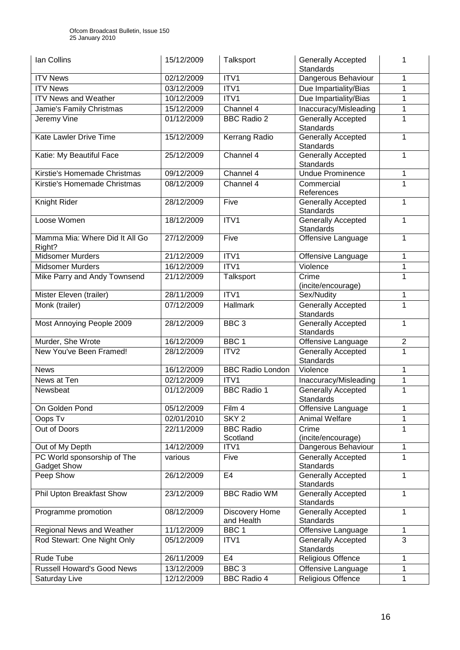| Ian Collins                                | 15/12/2009 | Talksport                    | <b>Generally Accepted</b><br><b>Standards</b> | 1              |
|--------------------------------------------|------------|------------------------------|-----------------------------------------------|----------------|
| <b>ITV News</b>                            | 02/12/2009 | ITV1                         | Dangerous Behaviour                           | 1              |
| <b>ITV News</b>                            | 03/12/2009 | ITV1                         | Due Impartiality/Bias                         | 1              |
| <b>ITV News and Weather</b>                | 10/12/2009 | ITV1                         | Due Impartiality/Bias                         | 1              |
| Jamie's Family Christmas                   | 15/12/2009 | Channel 4                    | Inaccuracy/Misleading                         | 1              |
| Jeremy Vine                                | 01/12/2009 | <b>BBC Radio 2</b>           | <b>Generally Accepted</b><br>Standards        | 1              |
| Kate Lawler Drive Time                     | 15/12/2009 | Kerrang Radio                | <b>Generally Accepted</b><br>Standards        | 1              |
| Katie: My Beautiful Face                   | 25/12/2009 | Channel 4                    | Generally Accepted<br>Standards               | 1              |
| Kirstie's Homemade Christmas               | 09/12/2009 | Channel 4                    | <b>Undue Prominence</b>                       | 1              |
| Kirstie's Homemade Christmas               | 08/12/2009 | Channel 4                    | Commercial                                    | 1              |
|                                            |            |                              | References                                    |                |
| Knight Rider                               | 28/12/2009 | Five                         | <b>Generally Accepted</b><br>Standards        | 1              |
| Loose Women                                | 18/12/2009 | ITV1                         | Generally Accepted<br>Standards               | 1              |
| Mamma Mia: Where Did It All Go<br>Right?   | 27/12/2009 | Five                         | Offensive Language                            | 1              |
| <b>Midsomer Murders</b>                    | 21/12/2009 | ITV1                         | Offensive Language                            | 1              |
| <b>Midsomer Murders</b>                    | 16/12/2009 | ITV1                         | Violence                                      | 1              |
| Mike Parry and Andy Townsend               | 21/12/2009 | Talksport                    | Crime<br>(incite/encourage)                   | 1              |
| Mister Eleven (trailer)                    | 28/11/2009 | ITV1                         | Sex/Nudity                                    | 1              |
| Monk (trailer)                             | 07/12/2009 | Hallmark                     | <b>Generally Accepted</b><br>Standards        | 1              |
| Most Annoying People 2009                  | 28/12/2009 | BBC <sub>3</sub>             | <b>Generally Accepted</b><br>Standards        | 1              |
| Murder, She Wrote                          | 16/12/2009 | BBC <sub>1</sub>             | Offensive Language                            | $\overline{2}$ |
| New You've Been Framed!                    | 28/12/2009 | ITV <sub>2</sub>             | <b>Generally Accepted</b><br><b>Standards</b> | 1              |
| <b>News</b>                                | 16/12/2009 | <b>BBC Radio London</b>      | Violence                                      | 1              |
| News at Ten                                | 02/12/2009 | ITV1                         | Inaccuracy/Misleading                         | 1              |
| Newsbeat                                   | 01/12/2009 | <b>BBC Radio 1</b>           | <b>Generally Accepted</b><br>Standards        | 1              |
| On Golden Pond                             | 05/12/2009 | Film 4                       | Offensive Language                            | 1              |
| Oops Tv                                    | 02/01/2010 | SKY <sub>2</sub>             | Animal Welfare                                | 1              |
| Out of Doors                               | 22/11/2009 | <b>BBC Radio</b><br>Scotland | Crime<br>(incite/encourage)                   | 1              |
| Out of My Depth                            | 14/12/2009 | ITV1                         | Dangerous Behaviour                           | 1              |
| PC World sponsorship of The<br>Gadget Show | various    | Five                         | <b>Generally Accepted</b><br>Standards        | 1              |
| Peep Show                                  | 26/12/2009 | E <sub>4</sub>               | Generally Accepted<br>Standards               | 1              |
| Phil Upton Breakfast Show                  | 23/12/2009 | <b>BBC Radio WM</b>          | Generally Accepted<br>Standards               | 1              |
| Programme promotion                        | 08/12/2009 | Discovery Home<br>and Health | <b>Generally Accepted</b><br>Standards        | 1              |
| Regional News and Weather                  | 11/12/2009 | BBC <sub>1</sub>             | Offensive Language                            | 1              |
| Rod Stewart: One Night Only                | 05/12/2009 | ITV1                         | <b>Generally Accepted</b><br>Standards        | 3              |
| Rude Tube                                  | 26/11/2009 | E4                           | Religious Offence                             | 1              |
| <b>Russell Howard's Good News</b>          | 13/12/2009 | BBC <sub>3</sub>             | Offensive Language                            | 1              |
| Saturday Live                              | 12/12/2009 | <b>BBC Radio 4</b>           | Religious Offence                             | 1              |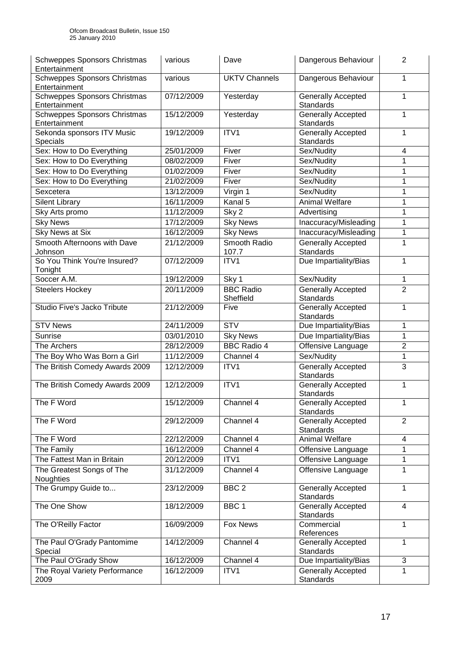| Schweppes Sponsors Christmas<br>Entertainment | various    | Dave                          | Dangerous Behaviour                           | $\overline{2}$            |
|-----------------------------------------------|------------|-------------------------------|-----------------------------------------------|---------------------------|
| Schweppes Sponsors Christmas<br>Entertainment | various    | <b>UKTV Channels</b>          | Dangerous Behaviour                           | $\mathbf{1}$              |
| Schweppes Sponsors Christmas<br>Entertainment | 07/12/2009 | Yesterday                     | <b>Generally Accepted</b><br><b>Standards</b> | 1                         |
| Schweppes Sponsors Christmas<br>Entertainment | 15/12/2009 | Yesterday                     | <b>Generally Accepted</b><br><b>Standards</b> | 1                         |
| Sekonda sponsors ITV Music<br>Specials        | 19/12/2009 | ITVI                          | <b>Generally Accepted</b><br>Standards        | 1                         |
| Sex: How to Do Everything                     | 25/01/2009 | Fiver                         | Sex/Nudity                                    | 4                         |
| Sex: How to Do Everything                     | 08/02/2009 | Fiver                         | Sex/Nudity                                    | 1                         |
| Sex: How to Do Everything                     | 01/02/2009 | Fiver                         | Sex/Nudity                                    | 1                         |
| Sex: How to Do Everything                     | 21/02/2009 | Fiver                         | Sex/Nudity                                    | 1                         |
| Sexcetera                                     | 13/12/2009 | Virgin 1                      | Sex/Nudity                                    | 1                         |
| <b>Silent Library</b>                         | 16/11/2009 | Kanal 5                       | <b>Animal Welfare</b>                         | 1                         |
| Sky Arts promo                                | 11/12/2009 | Sky <sub>2</sub>              | Advertising                                   | 1                         |
| <b>Sky News</b>                               | 17/12/2009 | <b>Sky News</b>               | Inaccuracy/Misleading                         | 1                         |
| Sky News at Six                               | 16/12/2009 | <b>Sky News</b>               | Inaccuracy/Misleading                         | 1                         |
| Smooth Afternoons with Dave<br>Johnson        | 21/12/2009 | Smooth Radio<br>107.7         | <b>Generally Accepted</b><br>Standards        | 1                         |
| So You Think You're Insured?<br>Tonight       | 07/12/2009 | ITV1                          | Due Impartiality/Bias                         | 1                         |
| Soccer A.M.                                   | 19/12/2009 | Sky 1                         | Sex/Nudity                                    | 1                         |
| <b>Steelers Hockey</b>                        | 20/11/2009 | <b>BBC Radio</b><br>Sheffield | <b>Generally Accepted</b><br><b>Standards</b> | $\overline{2}$            |
| Studio Five's Jacko Tribute                   | 21/12/2009 | Five                          | <b>Generally Accepted</b><br>Standards        | 1                         |
| <b>STV News</b>                               | 24/11/2009 | <b>STV</b>                    | Due Impartiality/Bias                         | 1                         |
| Sunrise                                       | 03/01/2010 | <b>Sky News</b>               | Due Impartiality/Bias                         | 1                         |
| The Archers                                   | 28/12/2009 | <b>BBC Radio 4</b>            | Offensive Language                            | $\overline{2}$            |
| The Boy Who Was Born a Girl                   | 11/12/2009 | Channel 4                     | Sex/Nudity                                    | 1                         |
| The British Comedy Awards 2009                | 12/12/2009 | ITV1                          | <b>Generally Accepted</b><br>Standards        | 3                         |
| The British Comedy Awards 2009                | 12/12/2009 | ITV1                          | Generally Accepted<br>Standards               | 1                         |
| The F Word                                    | 15/12/2009 | Channel 4                     | <b>Generally Accepted</b><br><b>Standards</b> | 1                         |
| The F Word                                    | 29/12/2009 | Channel 4                     | Generally Accepted<br><b>Standards</b>        | $\overline{2}$            |
| The F Word                                    | 22/12/2009 | Channel 4                     | Animal Welfare                                | 4                         |
| The Family                                    | 16/12/2009 | Channel 4                     | Offensive Language                            | 1                         |
| The Fattest Man in Britain                    | 20/12/2009 | ITV1                          | Offensive Language                            | 1                         |
| The Greatest Songs of The<br>Noughties        | 31/12/2009 | Channel 4                     | Offensive Language                            | 1                         |
| The Grumpy Guide to                           | 23/12/2009 | BBC <sub>2</sub>              | <b>Generally Accepted</b><br><b>Standards</b> | $\mathbf{1}$              |
| The One Show                                  | 18/12/2009 | BBC <sub>1</sub>              | Generally Accepted<br>Standards               | $\overline{4}$            |
| The O'Reilly Factor                           | 16/09/2009 | Fox News                      | Commercial<br>References                      | 1                         |
| The Paul O'Grady Pantomime<br>Special         | 14/12/2009 | Channel 4                     | <b>Generally Accepted</b><br>Standards        | 1                         |
| The Paul O'Grady Show                         | 16/12/2009 | Channel 4                     | Due Impartiality/Bias                         | $\ensuremath{\mathsf{3}}$ |
| The Royal Variety Performance<br>2009         | 16/12/2009 | ITV1                          | <b>Generally Accepted</b><br>Standards        | 1                         |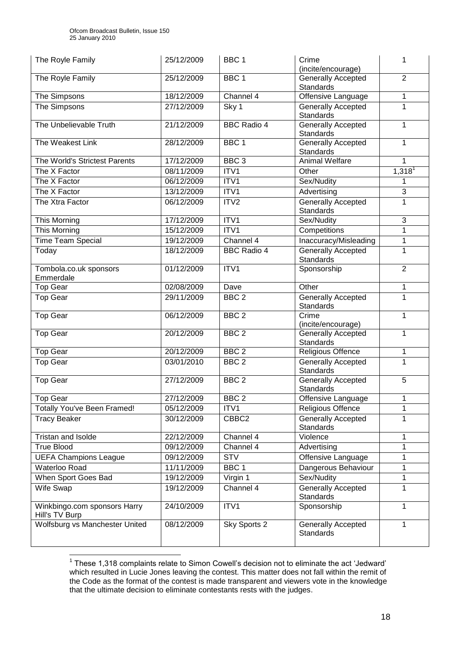| The Royle Family                               | 25/12/2009 | BBC <sub>1</sub>   | Crime<br>(incite/encourage)                   | 1                    |
|------------------------------------------------|------------|--------------------|-----------------------------------------------|----------------------|
| The Royle Family                               | 25/12/2009 | BBC <sub>1</sub>   | <b>Generally Accepted</b><br><b>Standards</b> | $\overline{2}$       |
| The Simpsons                                   | 18/12/2009 | Channel 4          | Offensive Language                            | 1                    |
| The Simpsons                                   | 27/12/2009 | Sky 1              | <b>Generally Accepted</b><br>Standards        | 1                    |
| The Unbelievable Truth                         | 21/12/2009 | <b>BBC Radio 4</b> | <b>Generally Accepted</b><br>Standards        | $\mathbf{1}$         |
| The Weakest Link                               | 28/12/2009 | BBC <sub>1</sub>   | <b>Generally Accepted</b><br><b>Standards</b> | $\mathbf{1}$         |
| The World's Strictest Parents                  | 17/12/2009 | BBC <sub>3</sub>   | Animal Welfare                                | 1                    |
| The X Factor                                   | 08/11/2009 | ITV1               | Other                                         | $1,318$ <sup>1</sup> |
| The X Factor                                   | 06/12/2009 | ITV1               | Sex/Nudity                                    | 1                    |
| The X Factor                                   | 13/12/2009 | ITV1               | Advertising                                   | $\overline{3}$       |
| The Xtra Factor                                | 06/12/2009 | ITV2               | Generally Accepted<br><b>Standards</b>        | $\mathbf{1}$         |
| This Morning                                   | 17/12/2009 | ITV1               | Sex/Nudity                                    | 3                    |
| This Morning                                   | 15/12/2009 | ITV1               | Competitions                                  | 1                    |
| <b>Time Team Special</b>                       | 19/12/2009 | Channel 4          | Inaccuracy/Misleading                         | $\mathbf{1}$         |
| Today                                          | 18/12/2009 | <b>BBC</b> Radio 4 | <b>Generally Accepted</b><br><b>Standards</b> | 1                    |
| Tombola.co.uk sponsors<br>Emmerdale            | 01/12/2009 | ITV1               | Sponsorship                                   | $\overline{2}$       |
| <b>Top Gear</b>                                | 02/08/2009 | Dave               | Other                                         | $\mathbf{1}$         |
| <b>Top Gear</b>                                | 29/11/2009 | BBC <sub>2</sub>   | <b>Generally Accepted</b><br><b>Standards</b> | $\mathbf{1}$         |
| <b>Top Gear</b>                                | 06/12/2009 | BBC <sub>2</sub>   | Crime<br>(incite/encourage)                   | 1                    |
| <b>Top Gear</b>                                | 20/12/2009 | BBC <sub>2</sub>   | <b>Generally Accepted</b><br><b>Standards</b> | 1                    |
| <b>Top Gear</b>                                | 20/12/2009 | $\overline{BBC}$ 2 | Religious Offence                             | $\mathbf{1}$         |
| <b>Top Gear</b>                                | 03/01/2010 | BBC <sub>2</sub>   | <b>Generally Accepted</b><br>Standards        | $\mathbf{1}$         |
| <b>Top Gear</b>                                | 27/12/2009 | BBC <sub>2</sub>   | Generally Accepted<br><b>Standards</b>        | 5                    |
| Top Gear                                       | 27/12/2009 | BBC <sub>2</sub>   | Offensive Language                            | $\mathbf 1$          |
| Totally You've Been Framed!                    | 05/12/2009 | ITV1               | Religious Offence                             | 1                    |
| <b>Tracy Beaker</b>                            | 30/12/2009 | CBBC2              | <b>Generally Accepted</b><br><b>Standards</b> | $\mathbf{1}$         |
| Tristan and Isolde                             | 22/12/2009 | Channel 4          | Violence                                      | 1                    |
| <b>True Blood</b>                              | 09/12/2009 | Channel 4          | Advertising                                   | 1                    |
| <b>UEFA Champions League</b>                   | 09/12/2009 | <b>STV</b>         | Offensive Language                            | 1                    |
| Waterloo Road                                  | 11/11/2009 | BBC <sub>1</sub>   | Dangerous Behaviour                           | 1                    |
| When Sport Goes Bad                            | 19/12/2009 | Virgin 1           | Sex/Nudity                                    | $\mathbf{1}$         |
| Wife Swap                                      | 19/12/2009 | Channel 4          | <b>Generally Accepted</b><br><b>Standards</b> | $\mathbf{1}$         |
| Winkbingo.com sponsors Harry<br>Hill's TV Burp | 24/10/2009 | ITV1               | Sponsorship                                   | 1                    |
| Wolfsburg vs Manchester United                 | 08/12/2009 | Sky Sports 2       | Generally Accepted<br><b>Standards</b>        | 1                    |

 1 These 1,318 complaints relate to Simon Cowell"s decision not to eliminate the act "Jedward" which resulted in Lucie Jones leaving the contest. This matter does not fall within the remit of the Code as the format of the contest is made transparent and viewers vote in the knowledge that the ultimate decision to eliminate contestants rests with the judges.